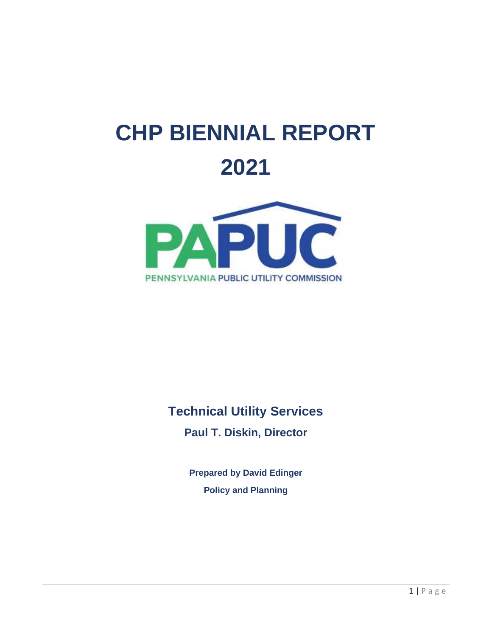# **CHP BIENNIAL REPORT 2021**



## **Technical Utility Services**

**Paul T. Diskin, Director**

**Prepared by David Edinger Policy and Planning**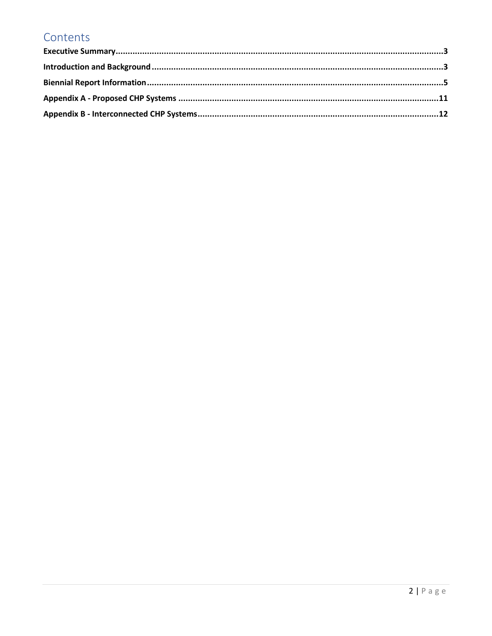### Contents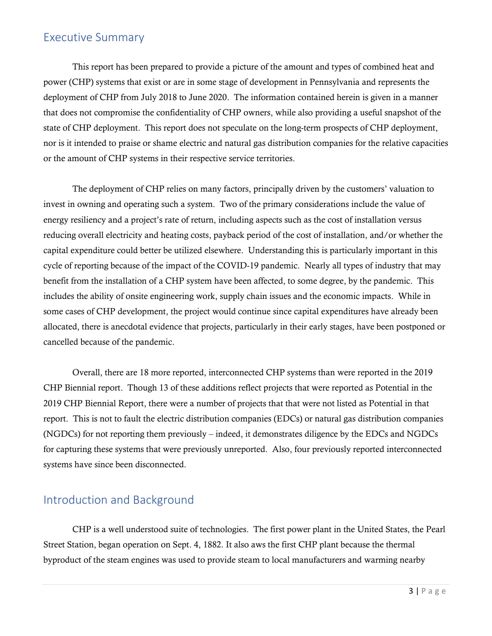#### <span id="page-2-0"></span>Executive Summary

This report has been prepared to provide a picture of the amount and types of combined heat and power (CHP) systems that exist or are in some stage of development in Pennsylvania and represents the deployment of CHP from July 2018 to June 2020. The information contained herein is given in a manner that does not compromise the confidentiality of CHP owners, while also providing a useful snapshot of the state of CHP deployment. This report does not speculate on the long-term prospects of CHP deployment, nor is it intended to praise or shame electric and natural gas distribution companies for the relative capacities or the amount of CHP systems in their respective service territories.

The deployment of CHP relies on many factors, principally driven by the customers' valuation to invest in owning and operating such a system. Two of the primary considerations include the value of energy resiliency and a project's rate of return, including aspects such as the cost of installation versus reducing overall electricity and heating costs, payback period of the cost of installation, and/or whether the capital expenditure could better be utilized elsewhere. Understanding this is particularly important in this cycle of reporting because of the impact of the COVID-19 pandemic. Nearly all types of industry that may benefit from the installation of a CHP system have been affected, to some degree, by the pandemic. This includes the ability of onsite engineering work, supply chain issues and the economic impacts. While in some cases of CHP development, the project would continue since capital expenditures have already been allocated, there is anecdotal evidence that projects, particularly in their early stages, have been postponed or cancelled because of the pandemic.

Overall, there are 18 more reported, interconnected CHP systems than were reported in the 2019 CHP Biennial report. Though 13 of these additions reflect projects that were reported as Potential in the 2019 CHP Biennial Report, there were a number of projects that that were not listed as Potential in that report. This is not to fault the electric distribution companies (EDCs) or natural gas distribution companies (NGDCs) for not reporting them previously – indeed, it demonstrates diligence by the EDCs and NGDCs for capturing these systems that were previously unreported. Also, four previously reported interconnected systems have since been disconnected.

#### <span id="page-2-1"></span>Introduction and Background

CHP is a well understood suite of technologies. The first power plant in the United States, the Pearl Street Station, began operation on Sept. 4, 1882. It also aws the first CHP plant because the thermal byproduct of the steam engines was used to provide steam to local manufacturers and warming nearby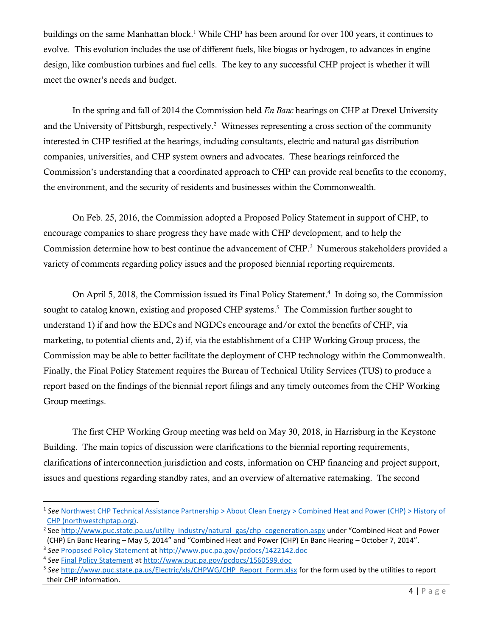buildings on the same Manhattan block.<sup>1</sup> While CHP has been around for over 100 years, it continues to evolve. This evolution includes the use of different fuels, like biogas or hydrogen, to advances in engine design, like combustion turbines and fuel cells. The key to any successful CHP project is whether it will meet the owner's needs and budget.

In the spring and fall of 2014 the Commission held *En Banc* hearings on CHP at Drexel University and the University of Pittsburgh, respectively. 2 Witnesses representing a cross section of the community interested in CHP testified at the hearings, including consultants, electric and natural gas distribution companies, universities, and CHP system owners and advocates. These hearings reinforced the Commission's understanding that a coordinated approach to CHP can provide real benefits to the economy, the environment, and the security of residents and businesses within the Commonwealth.

On Feb. 25, 2016, the Commission adopted a Proposed Policy Statement in support of CHP, to encourage companies to share progress they have made with CHP development, and to help the Commission determine how to best continue the advancement of CHP.<sup>3</sup> Numerous stakeholders provided a variety of comments regarding policy issues and the proposed biennial reporting requirements.

On April 5, 2018, the Commission issued its Final Policy Statement. 4 In doing so, the Commission sought to catalog known, existing and proposed CHP systems.<sup>5</sup> The Commission further sought to understand 1) if and how the EDCs and NGDCs encourage and/or extol the benefits of CHP, via marketing, to potential clients and, 2) if, via the establishment of a CHP Working Group process, the Commission may be able to better facilitate the deployment of CHP technology within the Commonwealth. Finally, the Final Policy Statement requires the Bureau of Technical Utility Services (TUS) to produce a report based on the findings of the biennial report filings and any timely outcomes from the CHP Working Group meetings.

The first CHP Working Group meeting was held on May 30, 2018, in Harrisburg in the Keystone Building. The main topics of discussion were clarifications to the biennial reporting requirements, clarifications of interconnection jurisdiction and costs, information on CHP financing and project support, issues and questions regarding standby rates, and an overview of alternative ratemaking. The second

<sup>1</sup> *See* [Northwest CHP Technical Assistance Partnership > About Clean Energy > Combined Heat and Power \(CHP\) > History of](http://northwestchptap.org/AboutCleanEnergy/CombinedHeatandPowerCHP/HistoryofCHP.aspx)  [CHP \(northwestchptap.org\).](http://northwestchptap.org/AboutCleanEnergy/CombinedHeatandPowerCHP/HistoryofCHP.aspx)

<sup>&</sup>lt;sup>2</sup> See [http://www.puc.state.pa.us/utility\\_industry/natural\\_gas/chp\\_cogeneration.aspx](http://www.puc.state.pa.us/utility_industry/natural_gas/chp_cogeneration.aspx) under "Combined Heat and Power (CHP) En Banc Hearing – May 5, 2014" and "Combined Heat and Power (CHP) En Banc Hearing – October 7, 2014".

<sup>3</sup> *See* [Proposed Policy Statement](http://www.puc.pa.gov/pcdocs/1422142.doc) at<http://www.puc.pa.gov/pcdocs/1422142.doc>

<sup>4</sup> *See* [Final Policy Statement](http://www.puc.pa.gov/pcdocs/1560599.doc) a[t http://www.puc.pa.gov/pcdocs/1560599.doc](http://www.puc.pa.gov/pcdocs/1560599.doc)

<sup>&</sup>lt;sup>5</sup> See [http://www.puc.state.pa.us/Electric/xls/CHPWG/CHP\\_Report\\_Form.xlsx](http://www.puc.state.pa.us/Electric/xls/CHPWG/CHP_Report_Form.xlsx) for the form used by the utilities to report their CHP information.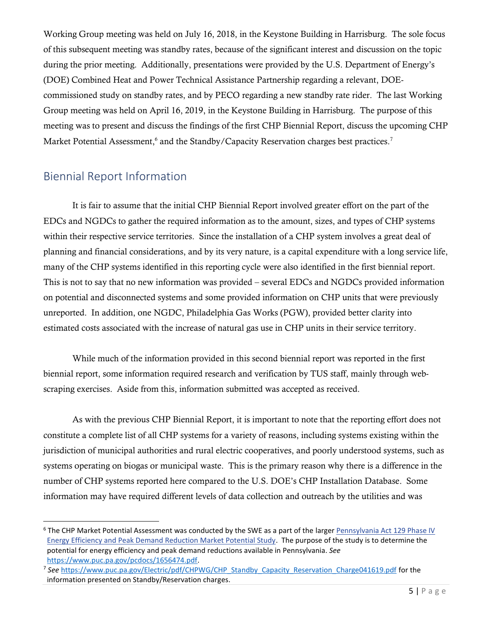Working Group meeting was held on July 16, 2018, in the Keystone Building in Harrisburg. The sole focus of this subsequent meeting was standby rates, because of the significant interest and discussion on the topic during the prior meeting. Additionally, presentations were provided by the U.S. Department of Energy's (DOE) Combined Heat and Power Technical Assistance Partnership regarding a relevant, DOEcommissioned study on standby rates, and by PECO regarding a new standby rate rider. The last Working Group meeting was held on April 16, 2019, in the Keystone Building in Harrisburg. The purpose of this meeting was to present and discuss the findings of the first CHP Biennial Report, discuss the upcoming CHP Market Potential Assessment,<sup>6</sup> and the Standby/Capacity Reservation charges best practices.<sup>7</sup>

#### <span id="page-4-0"></span>Biennial Report Information

It is fair to assume that the initial CHP Biennial Report involved greater effort on the part of the EDCs and NGDCs to gather the required information as to the amount, sizes, and types of CHP systems within their respective service territories. Since the installation of a CHP system involves a great deal of planning and financial considerations, and by its very nature, is a capital expenditure with a long service life, many of the CHP systems identified in this reporting cycle were also identified in the first biennial report. This is not to say that no new information was provided – several EDCs and NGDCs provided information on potential and disconnected systems and some provided information on CHP units that were previously unreported. In addition, one NGDC, Philadelphia Gas Works (PGW), provided better clarity into estimated costs associated with the increase of natural gas use in CHP units in their service territory.

While much of the information provided in this second biennial report was reported in the first biennial report, some information required research and verification by TUS staff, mainly through webscraping exercises. Aside from this, information submitted was accepted as received.

As with the previous CHP Biennial Report, it is important to note that the reporting effort does not constitute a complete list of all CHP systems for a variety of reasons, including systems existing within the jurisdiction of municipal authorities and rural electric cooperatives, and poorly understood systems, such as systems operating on biogas or municipal waste. This is the primary reason why there is a difference in the number of CHP systems reported here compared to the U.S. DOE's CHP Installation Database. Some information may have required different levels of data collection and outreach by the utilities and was

<sup>&</sup>lt;sup>6</sup> The CHP Market Potential Assessment was conducted by the SWE as a part of the larger Pennsylvania Act 129 Phase IV [Energy Efficiency and Peak Demand Reduction Market Potential Study.](https://www.puc.pa.gov/pcdocs/1656474.pdf) The purpose of the study is to determine the potential for energy efficiency and peak demand reductions available in Pennsylvania. *See* [https://www.puc.pa.gov/pcdocs/1656474.pdf.](https://www.puc.pa.gov/pcdocs/1656474.pdf)

<sup>&</sup>lt;sup>7</sup> See [https://www.puc.pa.gov/Electric/pdf/CHPWG/CHP\\_Standby\\_Capacity\\_Reservation\\_Charge041619.pdf](https://www.puc.pa.gov/Electric/pdf/CHPWG/CHP_Standby_Capacity_Reservation_Charge041619.pdf) for the information presented on Standby/Reservation charges.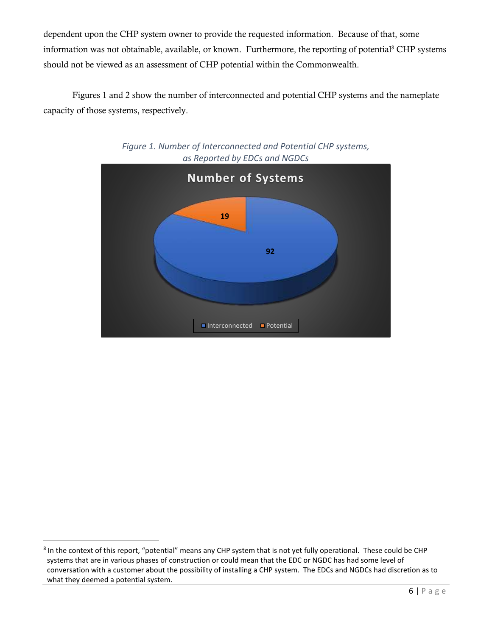dependent upon the CHP system owner to provide the requested information. Because of that, some information was not obtainable, available, or known. Furthermore, the reporting of potential<sup>8</sup> CHP systems should not be viewed as an assessment of CHP potential within the Commonwealth.

Figures 1 and 2 show the number of interconnected and potential CHP systems and the nameplate capacity of those systems, respectively.





<sup>&</sup>lt;sup>8</sup> In the context of this report, "potential" means any CHP system that is not yet fully operational. These could be CHP systems that are in various phases of construction or could mean that the EDC or NGDC has had some level of conversation with a customer about the possibility of installing a CHP system. The EDCs and NGDCs had discretion as to what they deemed a potential system.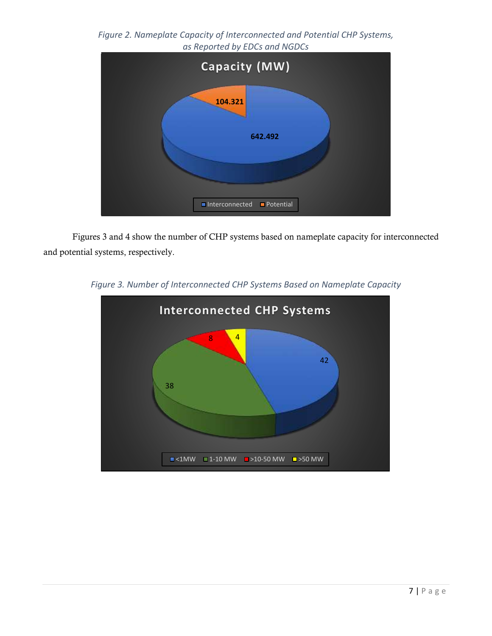*Figure 2. Nameplate Capacity of Interconnected and Potential CHP Systems, as Reported by EDCs and NGDCs*



Figures 3 and 4 show the number of CHP systems based on nameplate capacity for interconnected and potential systems, respectively.



*Figure 3. Number of Interconnected CHP Systems Based on Nameplate Capacity*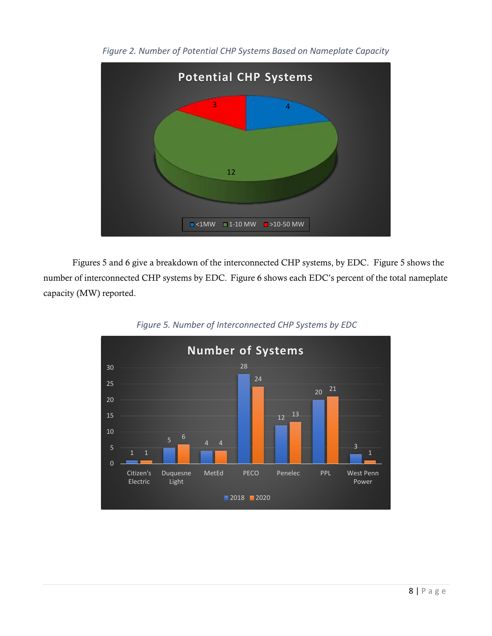

*Figure 2. Number of Potential CHP Systems Based on Nameplate Capacity*

Figures 5 and 6 give a breakdown of the interconnected CHP systems, by EDC. Figure 5 shows the number of interconnected CHP systems by EDC.Figure 6 shows each EDC's percent of the total nameplate capacity (MW) reported.



*Figure 5. Number of Interconnected CHP Systems by EDC*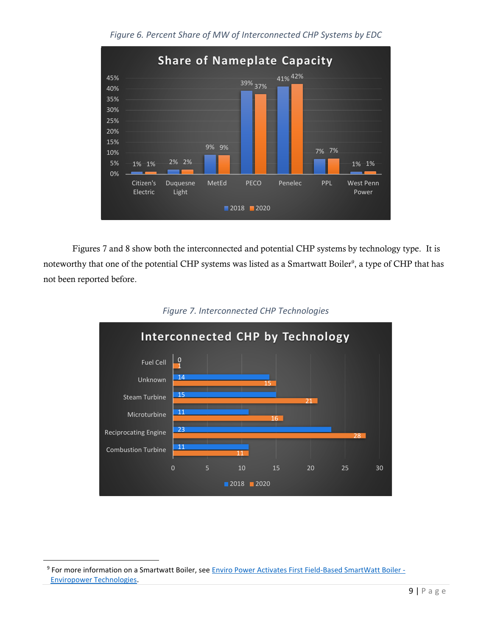

*Figure 6. Percent Share of MW of Interconnected CHP Systems by EDC*

Figures 7 and 8 show both the interconnected and potential CHP systems by technology type. It is noteworthy that one of the potential CHP systems was listed as a Smartwatt Boiler<sup>9</sup>, a type of CHP that has not been reported before.





<sup>&</sup>lt;sup>9</sup> For more information on a Smartwatt Boiler, see <u>Enviro Power Activates First Field-Based SmartWatt Boiler -</u> [Enviropower Technologies.](https://www.enviropowertec.com/enviro-power-activates-first-field-based-smartwatt-boiler-bringing-combined-heat-and-electricity-to-hartford-ct-office-complex/)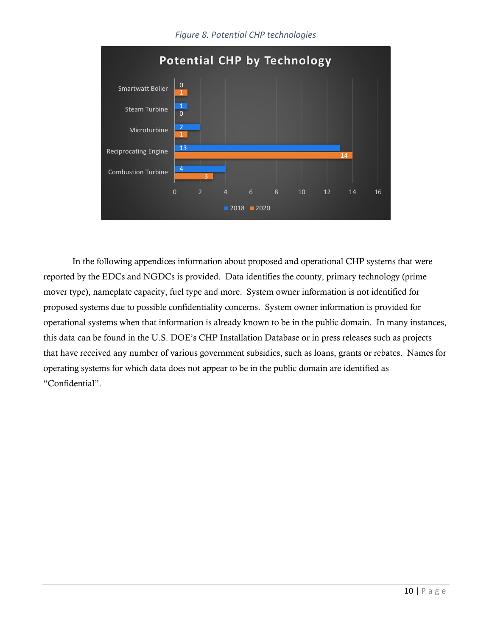#### *Figure 8. Potential CHP technologies*



In the following appendices information about proposed and operational CHP systems that were reported by the EDCs and NGDCs is provided. Data identifies the county, primary technology (prime mover type), nameplate capacity, fuel type and more. System owner information is not identified for proposed systems due to possible confidentiality concerns. System owner information is provided for operational systems when that information is already known to be in the public domain. In many instances, this data can be found in the U.S. DOE's CHP Installation Database or in press releases such as projects that have received any number of various government subsidies, such as loans, grants or rebates. Names for operating systems for which data does not appear to be in the public domain are identified as "Confidential".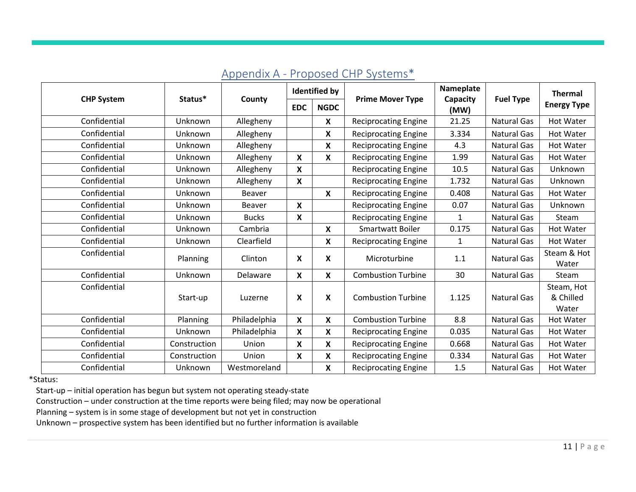<span id="page-10-0"></span>

|                   |              |               |              | <b>Identified by</b>      |                             | Nameplate        |                    | Thermal              |
|-------------------|--------------|---------------|--------------|---------------------------|-----------------------------|------------------|--------------------|----------------------|
| <b>CHP System</b> | Status*      | County        | <b>EDC</b>   | <b>NGDC</b>               | <b>Prime Mover Type</b>     | Capacity<br>(MW) | <b>Fuel Type</b>   | <b>Energy Type</b>   |
| Confidential      | Unknown      | Allegheny     |              | $\boldsymbol{\mathsf{X}}$ | <b>Reciprocating Engine</b> | 21.25            | <b>Natural Gas</b> | <b>Hot Water</b>     |
| Confidential      | Unknown      | Allegheny     |              | X                         | <b>Reciprocating Engine</b> | 3.334            | <b>Natural Gas</b> | <b>Hot Water</b>     |
| Confidential      | Unknown      | Allegheny     |              | X                         | <b>Reciprocating Engine</b> | 4.3              | Natural Gas        | <b>Hot Water</b>     |
| Confidential      | Unknown      | Allegheny     | $\mathsf{x}$ | X                         | <b>Reciprocating Engine</b> | 1.99             | Natural Gas        | Hot Water            |
| Confidential      | Unknown      | Allegheny     | $\mathsf{x}$ |                           | <b>Reciprocating Engine</b> | 10.5             | <b>Natural Gas</b> | Unknown              |
| Confidential      | Unknown      | Allegheny     | X            |                           | <b>Reciprocating Engine</b> | 1.732            | <b>Natural Gas</b> | Unknown              |
| Confidential      | Unknown      | Beaver        |              | $\boldsymbol{x}$          | <b>Reciprocating Engine</b> | 0.408            | <b>Natural Gas</b> | <b>Hot Water</b>     |
| Confidential      | Unknown      | <b>Beaver</b> | X            |                           | <b>Reciprocating Engine</b> | 0.07             | <b>Natural Gas</b> | Unknown              |
| Confidential      | Unknown      | <b>Bucks</b>  | X            |                           | <b>Reciprocating Engine</b> | $\mathbf{1}$     | <b>Natural Gas</b> | Steam                |
| Confidential      | Unknown      | Cambria       |              | $\mathsf{x}$              | Smartwatt Boiler            | 0.175            | <b>Natural Gas</b> | Hot Water            |
| Confidential      | Unknown      | Clearfield    |              | X                         | <b>Reciprocating Engine</b> | $\mathbf{1}$     | <b>Natural Gas</b> | Hot Water            |
| Confidential      | Planning     | Clinton       | X            | $\boldsymbol{x}$          | Microturbine                | 1.1              | <b>Natural Gas</b> | Steam & Hot<br>Water |
| Confidential      | Unknown      | Delaware      | X            | X                         | <b>Combustion Turbine</b>   | 30               | <b>Natural Gas</b> | Steam                |
| Confidential      |              |               |              |                           |                             |                  |                    | Steam, Hot           |
|                   | Start-up     | Luzerne       | X            | $\boldsymbol{\mathsf{X}}$ | <b>Combustion Turbine</b>   | 1.125            | <b>Natural Gas</b> | & Chilled            |
|                   |              |               |              |                           |                             |                  |                    | Water                |
| Confidential      | Planning     | Philadelphia  | $\mathbf{x}$ | X                         | <b>Combustion Turbine</b>   | 8.8              | <b>Natural Gas</b> | <b>Hot Water</b>     |
| Confidential      | Unknown      | Philadelphia  | X            | X                         | <b>Reciprocating Engine</b> | 0.035            | Natural Gas        | Hot Water            |
| Confidential      | Construction | Union         | X            | X                         | <b>Reciprocating Engine</b> | 0.668            | <b>Natural Gas</b> | Hot Water            |
| Confidential      | Construction | Union         | X            | X                         | <b>Reciprocating Engine</b> | 0.334            | <b>Natural Gas</b> | Hot Water            |
| Confidential      | Unknown      | Westmoreland  |              | X                         | <b>Reciprocating Engine</b> | 1.5              | <b>Natural Gas</b> | Hot Water            |

### Appendix A - Proposed CHP Systems\*

\*Status:

Start-up – initial operation has begun but system not operating steady-state

Construction – under construction at the time reports were being filed; may now be operational

Planning – system is in some stage of development but not yet in construction

Unknown – prospective system has been identified but no further information is available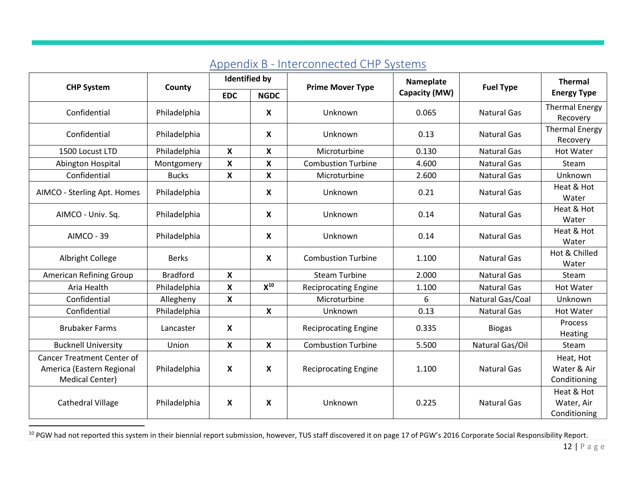<span id="page-11-0"></span>

| <b>CHP System</b>                                                                 | County          | <b>Identified by</b>      |                           | <b>Prime Mover Type</b>     | Nameplate     | <b>Fuel Type</b>   | <b>Thermal</b>                           |
|-----------------------------------------------------------------------------------|-----------------|---------------------------|---------------------------|-----------------------------|---------------|--------------------|------------------------------------------|
|                                                                                   |                 | <b>EDC</b>                | <b>NGDC</b>               |                             | Capacity (MW) |                    | <b>Energy Type</b>                       |
| Confidential                                                                      | Philadelphia    |                           | $\mathsf{x}$              | Unknown                     | 0.065         | <b>Natural Gas</b> | <b>Thermal Energy</b><br>Recovery        |
| Confidential                                                                      | Philadelphia    |                           | $\mathsf{x}$              | Unknown                     | 0.13          | <b>Natural Gas</b> | <b>Thermal Energy</b><br>Recovery        |
| 1500 Locust LTD                                                                   | Philadelphia    | X                         | X                         | Microturbine                | 0.130         | <b>Natural Gas</b> | <b>Hot Water</b>                         |
| Abington Hospital                                                                 | Montgomery      | X                         | $\mathbf x$               | <b>Combustion Turbine</b>   | 4.600         | <b>Natural Gas</b> | Steam                                    |
| Confidential                                                                      | <b>Bucks</b>    | $\boldsymbol{X}$          | X                         | Microturbine                | 2.600         | <b>Natural Gas</b> | Unknown                                  |
| AIMCO - Sterling Apt. Homes                                                       | Philadelphia    |                           | $\mathbf x$               | Unknown                     | 0.21          | <b>Natural Gas</b> | Heat & Hot<br>Water                      |
| AIMCO - Univ. Sq.                                                                 | Philadelphia    |                           | X                         | Unknown                     | 0.14          | <b>Natural Gas</b> | Heat & Hot<br>Water                      |
| AIMCO - 39                                                                        | Philadelphia    |                           | X                         | Unknown                     | 0.14          | <b>Natural Gas</b> | Heat & Hot<br>Water                      |
| <b>Albright College</b>                                                           | <b>Berks</b>    |                           | $\boldsymbol{\mathsf{X}}$ | <b>Combustion Turbine</b>   | 1.100         | <b>Natural Gas</b> | Hot & Chilled<br>Water                   |
| American Refining Group                                                           | <b>Bradford</b> | $\mathsf{x}$              |                           | <b>Steam Turbine</b>        | 2.000         | <b>Natural Gas</b> | Steam                                    |
| Aria Health                                                                       | Philadelphia    | X                         | $X^{10}$                  | <b>Reciprocating Engine</b> | 1.100         | <b>Natural Gas</b> | <b>Hot Water</b>                         |
| Confidential                                                                      | Allegheny       | X                         |                           | Microturbine                | 6             | Natural Gas/Coal   | Unknown                                  |
| Confidential                                                                      | Philadelphia    |                           | $\mathsf{x}$              | Unknown                     | 0.13          | <b>Natural Gas</b> | <b>Hot Water</b>                         |
| <b>Brubaker Farms</b>                                                             | Lancaster       | X                         |                           | <b>Reciprocating Engine</b> | 0.335         | <b>Biogas</b>      | Process<br>Heating                       |
| <b>Bucknell University</b>                                                        | Union           | $\boldsymbol{\mathsf{x}}$ | X                         | <b>Combustion Turbine</b>   | 5.500         | Natural Gas/Oil    | Steam                                    |
| <b>Cancer Treatment Center of</b><br>America (Eastern Regional<br>Medical Center) | Philadelphia    | X                         | X                         | <b>Reciprocating Engine</b> | 1.100         | <b>Natural Gas</b> | Heat, Hot<br>Water & Air<br>Conditioning |
| <b>Cathedral Village</b>                                                          | Philadelphia    | X                         | X                         | Unknown                     | 0.225         | <b>Natural Gas</b> | Heat & Hot<br>Water, Air<br>Conditioning |

## Appendix B - Interconnected CHP Systems

<sup>&</sup>lt;sup>10</sup> PGW had not reported this system in their biennial report submission, however, TUS staff discovered it on page 17 of PGW's 2016 Corporate Social Responsibility Report.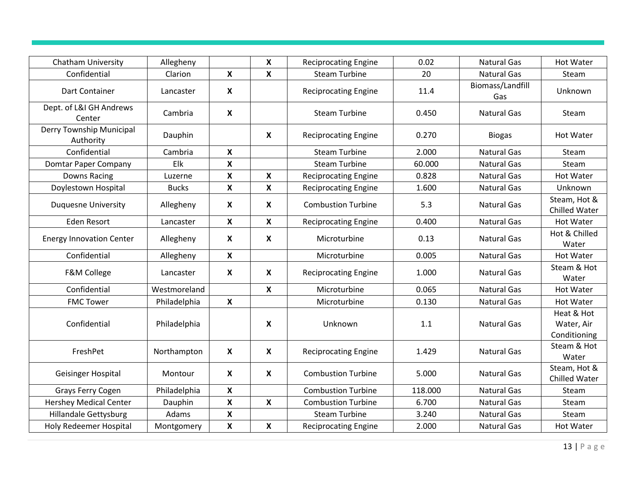| <b>Chatham University</b>             | Allegheny    |                           | $\boldsymbol{\mathsf{X}}$ | <b>Reciprocating Engine</b> | 0.02    | <b>Natural Gas</b>      | <b>Hot Water</b>                         |
|---------------------------------------|--------------|---------------------------|---------------------------|-----------------------------|---------|-------------------------|------------------------------------------|
| Confidential                          | Clarion      | X                         | $\boldsymbol{\mathsf{x}}$ | <b>Steam Turbine</b>        | 20      | <b>Natural Gas</b>      | Steam                                    |
| Dart Container                        | Lancaster    | $\boldsymbol{\mathsf{X}}$ |                           | <b>Reciprocating Engine</b> | 11.4    | Biomass/Landfill<br>Gas | Unknown                                  |
| Dept. of L&I GH Andrews<br>Center     | Cambria      | $\boldsymbol{\mathsf{X}}$ |                           | <b>Steam Turbine</b>        | 0.450   | <b>Natural Gas</b>      | Steam                                    |
| Derry Township Municipal<br>Authority | Dauphin      |                           | X                         | <b>Reciprocating Engine</b> | 0.270   | <b>Biogas</b>           | <b>Hot Water</b>                         |
| Confidential                          | Cambria      | X                         |                           | <b>Steam Turbine</b>        | 2.000   | <b>Natural Gas</b>      | Steam                                    |
| Domtar Paper Company                  | Elk          | X                         |                           | <b>Steam Turbine</b>        | 60.000  | <b>Natural Gas</b>      | Steam                                    |
| <b>Downs Racing</b>                   | Luzerne      | X                         | $\boldsymbol{\mathsf{X}}$ | <b>Reciprocating Engine</b> | 0.828   | <b>Natural Gas</b>      | <b>Hot Water</b>                         |
| Doylestown Hospital                   | <b>Bucks</b> | X                         | $\boldsymbol{\mathsf{x}}$ | <b>Reciprocating Engine</b> | 1.600   | <b>Natural Gas</b>      | Unknown                                  |
| <b>Duquesne University</b>            | Allegheny    | $\boldsymbol{\mathsf{x}}$ | $\boldsymbol{\mathsf{X}}$ | <b>Combustion Turbine</b>   | 5.3     | <b>Natural Gas</b>      | Steam, Hot &<br>Chilled Water            |
| <b>Eden Resort</b>                    | Lancaster    | $\mathbf x$               | $\mathbf{x}$              | <b>Reciprocating Engine</b> | 0.400   | <b>Natural Gas</b>      | <b>Hot Water</b>                         |
| <b>Energy Innovation Center</b>       | Allegheny    | X                         | $\boldsymbol{\mathsf{X}}$ | Microturbine                | 0.13    | <b>Natural Gas</b>      | Hot & Chilled<br>Water                   |
| Confidential                          | Allegheny    | $\mathbf x$               |                           | Microturbine                | 0.005   | <b>Natural Gas</b>      | <b>Hot Water</b>                         |
| F&M College                           | Lancaster    | $\boldsymbol{\mathsf{X}}$ | $\boldsymbol{\mathsf{X}}$ | <b>Reciprocating Engine</b> | 1.000   | <b>Natural Gas</b>      | Steam & Hot<br>Water                     |
| Confidential                          | Westmoreland |                           | $\boldsymbol{\mathsf{x}}$ | Microturbine                | 0.065   | <b>Natural Gas</b>      | <b>Hot Water</b>                         |
| <b>FMC Tower</b>                      | Philadelphia | $\boldsymbol{\mathsf{X}}$ |                           | Microturbine                | 0.130   | <b>Natural Gas</b>      | <b>Hot Water</b>                         |
| Confidential                          | Philadelphia |                           | X                         | Unknown                     | 1.1     | <b>Natural Gas</b>      | Heat & Hot<br>Water, Air<br>Conditioning |
| FreshPet                              | Northampton  | $\mathsf{X}$              | $\boldsymbol{\mathsf{X}}$ | <b>Reciprocating Engine</b> | 1.429   | <b>Natural Gas</b>      | Steam & Hot<br>Water                     |
| Geisinger Hospital                    | Montour      | $\boldsymbol{\mathsf{X}}$ | $\boldsymbol{\mathsf{X}}$ | <b>Combustion Turbine</b>   | 5.000   | <b>Natural Gas</b>      | Steam, Hot &<br><b>Chilled Water</b>     |
| Grays Ferry Cogen                     | Philadelphia | $\mathsf{x}$              |                           | <b>Combustion Turbine</b>   | 118.000 | <b>Natural Gas</b>      | Steam                                    |
| <b>Hershey Medical Center</b>         | Dauphin      | X                         | $\boldsymbol{\mathsf{x}}$ | <b>Combustion Turbine</b>   | 6.700   | <b>Natural Gas</b>      | Steam                                    |
| <b>Hillandale Gettysburg</b>          | Adams        | $\pmb{\mathsf{X}}$        |                           | <b>Steam Turbine</b>        | 3.240   | <b>Natural Gas</b>      | Steam                                    |
| <b>Holy Redeemer Hospital</b>         | Montgomery   | $\boldsymbol{\mathsf{X}}$ | $\boldsymbol{\mathsf{X}}$ | <b>Reciprocating Engine</b> | 2.000   | <b>Natural Gas</b>      | <b>Hot Water</b>                         |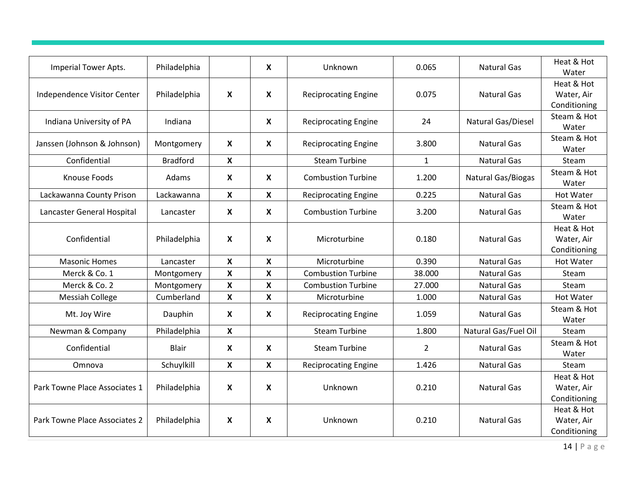| Imperial Tower Apts.          | Philadelphia    |                           | $\mathsf{x}$ | Unknown                     | 0.065          | <b>Natural Gas</b>        | Heat & Hot<br>Water                      |
|-------------------------------|-----------------|---------------------------|--------------|-----------------------------|----------------|---------------------------|------------------------------------------|
| Independence Visitor Center   | Philadelphia    | $\boldsymbol{\mathsf{X}}$ | X            | <b>Reciprocating Engine</b> | 0.075          | <b>Natural Gas</b>        | Heat & Hot<br>Water, Air<br>Conditioning |
| Indiana University of PA      | Indiana         |                           | $\mathsf{x}$ | <b>Reciprocating Engine</b> | 24             | Natural Gas/Diesel        | Steam & Hot<br>Water                     |
| Janssen (Johnson & Johnson)   | Montgomery      | $\boldsymbol{\mathsf{x}}$ | X            | <b>Reciprocating Engine</b> | 3.800          | <b>Natural Gas</b>        | Steam & Hot<br>Water                     |
| Confidential                  | <b>Bradford</b> | X                         |              | <b>Steam Turbine</b>        | $\mathbf{1}$   | <b>Natural Gas</b>        | Steam                                    |
| <b>Knouse Foods</b>           | Adams           | $\boldsymbol{\mathsf{X}}$ | X            | <b>Combustion Turbine</b>   | 1.200          | <b>Natural Gas/Biogas</b> | Steam & Hot<br>Water                     |
| Lackawanna County Prison      | Lackawanna      | $\mathbf{x}$              | $\mathsf{x}$ | <b>Reciprocating Engine</b> | 0.225          | <b>Natural Gas</b>        | <b>Hot Water</b>                         |
| Lancaster General Hospital    | Lancaster       | $\boldsymbol{\mathsf{X}}$ | X            | <b>Combustion Turbine</b>   | 3.200          | <b>Natural Gas</b>        | Steam & Hot<br>Water                     |
| Confidential                  | Philadelphia    | $\boldsymbol{\mathsf{X}}$ | X            | Microturbine                | 0.180          | <b>Natural Gas</b>        | Heat & Hot<br>Water, Air<br>Conditioning |
| <b>Masonic Homes</b>          | Lancaster       | $\boldsymbol{\mathsf{X}}$ | $\mathbf{x}$ | Microturbine                | 0.390          | <b>Natural Gas</b>        | <b>Hot Water</b>                         |
| Merck & Co. 1                 | Montgomery      | $\mathbf{x}$              | $\mathsf{x}$ | <b>Combustion Turbine</b>   | 38.000         | <b>Natural Gas</b>        | Steam                                    |
| Merck & Co. 2                 | Montgomery      | X                         | X            | <b>Combustion Turbine</b>   | 27.000         | <b>Natural Gas</b>        | Steam                                    |
| <b>Messiah College</b>        | Cumberland      | X                         | X            | Microturbine                | 1.000          | <b>Natural Gas</b>        | <b>Hot Water</b>                         |
| Mt. Joy Wire                  | Dauphin         | X                         | X            | <b>Reciprocating Engine</b> | 1.059          | <b>Natural Gas</b>        | Steam & Hot<br>Water                     |
| Newman & Company              | Philadelphia    | $\boldsymbol{\mathsf{X}}$ |              | <b>Steam Turbine</b>        | 1.800          | Natural Gas/Fuel Oil      | Steam                                    |
| Confidential                  | <b>Blair</b>    | $\boldsymbol{\mathsf{X}}$ | X            | <b>Steam Turbine</b>        | $\overline{2}$ | <b>Natural Gas</b>        | Steam & Hot<br>Water                     |
| Omnova                        | Schuylkill      | $\mathbf{x}$              | $\mathbf{x}$ | <b>Reciprocating Engine</b> | 1.426          | <b>Natural Gas</b>        | Steam                                    |
| Park Towne Place Associates 1 | Philadelphia    | $\boldsymbol{\mathsf{x}}$ | X            | Unknown                     | 0.210          | <b>Natural Gas</b>        | Heat & Hot<br>Water, Air<br>Conditioning |
| Park Towne Place Associates 2 | Philadelphia    | $\boldsymbol{\mathsf{X}}$ | X            | Unknown                     | 0.210          | <b>Natural Gas</b>        | Heat & Hot<br>Water, Air<br>Conditioning |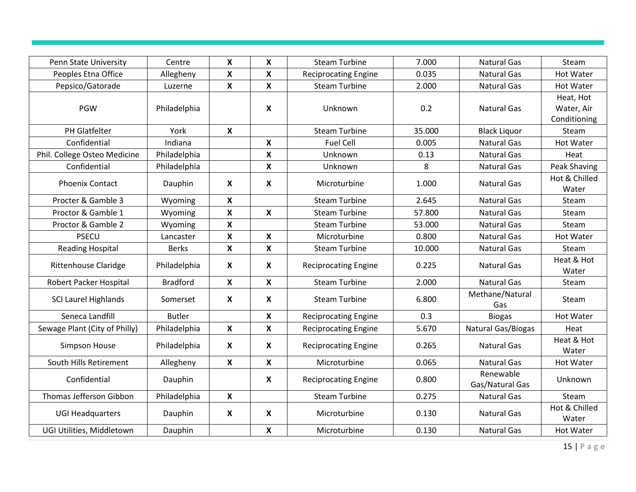| Penn State University         | Centre          | X                         | $\boldsymbol{X}$ | <b>Steam Turbine</b>        | 7.000  | <b>Natural Gas</b>           | Steam                                   |
|-------------------------------|-----------------|---------------------------|------------------|-----------------------------|--------|------------------------------|-----------------------------------------|
| Peoples Etna Office           | Allegheny       | X                         | X                | <b>Reciprocating Engine</b> | 0.035  | <b>Natural Gas</b>           | <b>Hot Water</b>                        |
| Pepsico/Gatorade              | Luzerne         | X                         | X                | <b>Steam Turbine</b>        | 2.000  | <b>Natural Gas</b>           | <b>Hot Water</b>                        |
| <b>PGW</b>                    | Philadelphia    |                           | X                | Unknown                     | 0.2    | <b>Natural Gas</b>           | Heat, Hot<br>Water, Air<br>Conditioning |
| PH Glatfelter                 | York            | $\mathbf{x}$              |                  | <b>Steam Turbine</b>        | 35.000 | <b>Black Liquor</b>          | Steam                                   |
| Confidential                  | Indiana         |                           | X                | <b>Fuel Cell</b>            | 0.005  | <b>Natural Gas</b>           | <b>Hot Water</b>                        |
| Phil. College Osteo Medicine  | Philadelphia    |                           | X                | Unknown                     | 0.13   | <b>Natural Gas</b>           | Heat                                    |
| Confidential                  | Philadelphia    |                           | $\mathsf{x}$     | Unknown                     | 8      | <b>Natural Gas</b>           | Peak Shaving                            |
| <b>Phoenix Contact</b>        | Dauphin         | $\boldsymbol{\mathsf{X}}$ | $\boldsymbol{X}$ | Microturbine                | 1.000  | <b>Natural Gas</b>           | Hot & Chilled<br>Water                  |
| Procter & Gamble 3            | Wyoming         | $\mathsf{x}$              |                  | <b>Steam Turbine</b>        | 2.645  | <b>Natural Gas</b>           | Steam                                   |
| Proctor & Gamble 1            | Wyoming         | $\mathbf{x}$              | $\mathbf x$      | <b>Steam Turbine</b>        | 57.800 | <b>Natural Gas</b>           | Steam                                   |
| Proctor & Gamble 2            | Wyoming         | X                         |                  | <b>Steam Turbine</b>        | 53.000 | <b>Natural Gas</b>           | Steam                                   |
| <b>PSECU</b>                  | Lancaster       | X                         | $\boldsymbol{X}$ | Microturbine                | 0.800  | <b>Natural Gas</b>           | <b>Hot Water</b>                        |
| <b>Reading Hospital</b>       | <b>Berks</b>    | X                         | $\boldsymbol{X}$ | <b>Steam Turbine</b>        | 10.000 | <b>Natural Gas</b>           | Steam                                   |
| <b>Rittenhouse Claridge</b>   | Philadelphia    | $\boldsymbol{\mathsf{X}}$ | $\mathbf x$      | <b>Reciprocating Engine</b> | 0.225  | <b>Natural Gas</b>           | Heat & Hot<br>Water                     |
| Robert Packer Hospital        | <b>Bradford</b> | $\mathbf x$               | $\mathsf{x}$     | <b>Steam Turbine</b>        | 2.000  | <b>Natural Gas</b>           | Steam                                   |
| <b>SCI Laurel Highlands</b>   | Somerset        | $\boldsymbol{\mathsf{X}}$ | $\mathbf x$      | <b>Steam Turbine</b>        | 6.800  | Methane/Natural<br>Gas       | Steam                                   |
| Seneca Landfill               | <b>Butler</b>   |                           | $\mathbf x$      | <b>Reciprocating Engine</b> | 0.3    | <b>Biogas</b>                | <b>Hot Water</b>                        |
| Sewage Plant (City of Philly) | Philadelphia    | X                         | $\mathbf x$      | <b>Reciprocating Engine</b> | 5.670  | Natural Gas/Biogas           | Heat                                    |
| Simpson House                 | Philadelphia    | $\boldsymbol{\mathsf{X}}$ | X                | <b>Reciprocating Engine</b> | 0.265  | <b>Natural Gas</b>           | Heat & Hot<br>Water                     |
| South Hills Retirement        | Allegheny       | X                         | X                | Microturbine                | 0.065  | <b>Natural Gas</b>           | <b>Hot Water</b>                        |
| Confidential                  | Dauphin         |                           | X                | <b>Reciprocating Engine</b> | 0.800  | Renewable<br>Gas/Natural Gas | Unknown                                 |
| Thomas Jefferson Gibbon       | Philadelphia    | X                         |                  | <b>Steam Turbine</b>        | 0.275  | <b>Natural Gas</b>           | Steam                                   |
| <b>UGI Headquarters</b>       | Dauphin         | $\boldsymbol{\mathsf{X}}$ | X                | Microturbine                | 0.130  | <b>Natural Gas</b>           | Hot & Chilled<br>Water                  |
| UGI Utilities, Middletown     | Dauphin         |                           | $\mathbf x$      | Microturbine                | 0.130  | <b>Natural Gas</b>           | <b>Hot Water</b>                        |